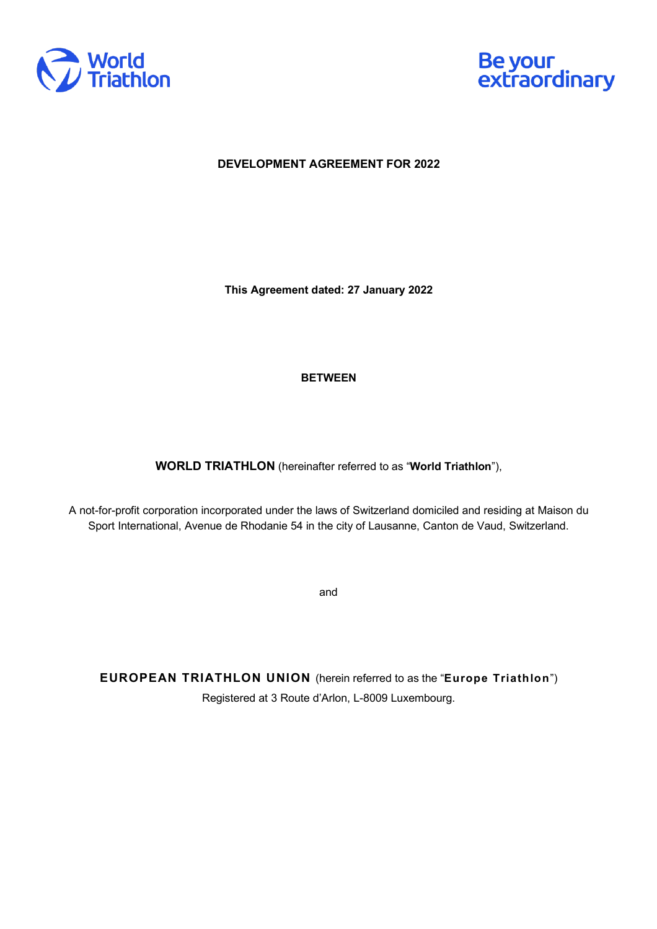



**DEVELOPMENT AGREEMENT FOR 2022**

**This Agreement dated: 27 January 2022**

## **BETWEEN**

**WORLD TRIATHLON** (hereinafter referred to as "**World Triathlon**"),

A not-for-profit corporation incorporated under the laws of Switzerland domiciled and residing at Maison du Sport International, Avenue de Rhodanie 54 in the city of Lausanne, Canton de Vaud, Switzerland.

and

**EUROPEAN TRIATHLON UNION** (herein referred to as the "**Europe Triathlon**") Registered at 3 Route d'Arlon, L-8009 Luxembourg.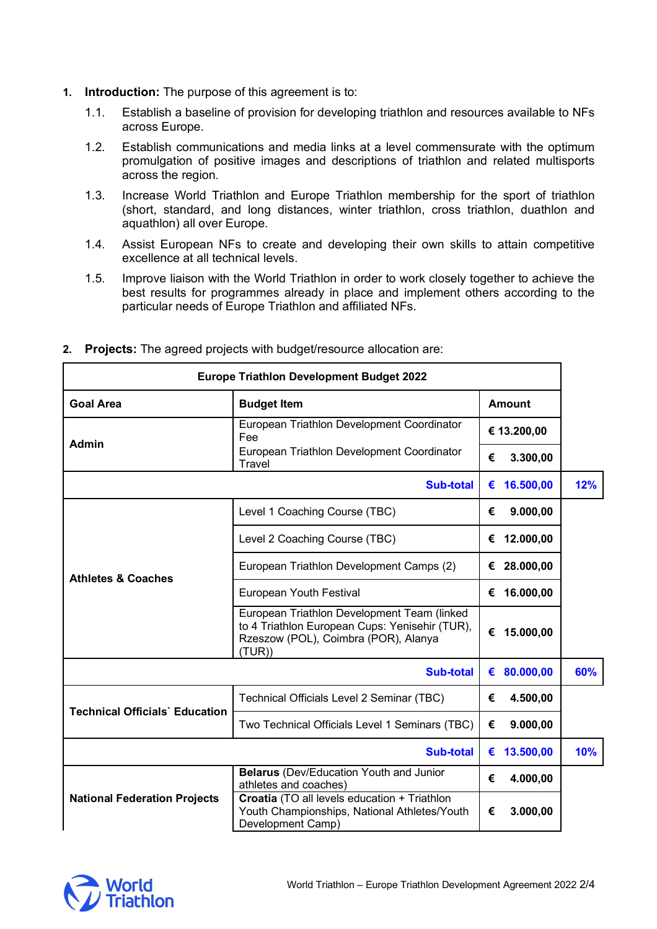- **1. Introduction:** The purpose of this agreement is to:
	- 1.1. Establish a baseline of provision for developing triathlon and resources available to NFs across Europe.
	- 1.2. Establish communications and media links at a level commensurate with the optimum promulgation of positive images and descriptions of triathlon and related multisports across the region.
	- 1.3. Increase World Triathlon and Europe Triathlon membership for the sport of triathlon (short, standard, and long distances, winter triathlon, cross triathlon, duathlon and aquathlon) all over Europe.
	- 1.4. Assist European NFs to create and developing their own skills to attain competitive excellence at all technical levels.
	- 1.5. Improve liaison with the World Triathlon in order to work closely together to achieve the best results for programmes already in place and implement others according to the particular needs of Europe Triathlon and affiliated NFs.

| <b>Europe Triathlon Development Budget 2022</b> |                                                                                                                                                 |               |           |     |
|-------------------------------------------------|-------------------------------------------------------------------------------------------------------------------------------------------------|---------------|-----------|-----|
| <b>Goal Area</b>                                | <b>Budget Item</b>                                                                                                                              | <b>Amount</b> |           |     |
| <b>Admin</b>                                    | European Triathlon Development Coordinator<br>Fee                                                                                               | € 13.200,00   |           |     |
|                                                 | European Triathlon Development Coordinator<br>Travel                                                                                            | €             | 3.300,00  |     |
| <b>Sub-total</b>                                |                                                                                                                                                 | €             | 16.500,00 | 12% |
| <b>Athletes &amp; Coaches</b>                   | Level 1 Coaching Course (TBC)                                                                                                                   | €             | 9.000,00  |     |
|                                                 | Level 2 Coaching Course (TBC)                                                                                                                   | €             | 12.000,00 |     |
|                                                 | European Triathlon Development Camps (2)                                                                                                        | €             | 28.000,00 |     |
|                                                 | European Youth Festival                                                                                                                         | €             | 16.000,00 |     |
|                                                 | European Triathlon Development Team (linked<br>to 4 Triathlon European Cups: Yenisehir (TUR),<br>Rzeszow (POL), Coimbra (POR), Alanya<br>(TUR)) | €             | 15.000,00 |     |
| Sub-total                                       |                                                                                                                                                 | €             | 80.000,00 | 60% |
| <b>Technical Officials' Education</b>           | Technical Officials Level 2 Seminar (TBC)                                                                                                       | €             | 4.500,00  |     |
|                                                 | Two Technical Officials Level 1 Seminars (TBC)                                                                                                  | €             | 9.000,00  |     |
| <b>Sub-total</b>                                |                                                                                                                                                 | €             | 13.500,00 | 10% |
| <b>National Federation Projects</b>             | Belarus (Dev/Education Youth and Junior<br>athletes and coaches)                                                                                | €             | 4.000,00  |     |
|                                                 | Croatia (TO all levels education + Triathlon<br>Youth Championships, National Athletes/Youth<br>Development Camp)                               | €             | 3.000,00  |     |

**2. Projects:** The agreed projects with budget/resource allocation are:

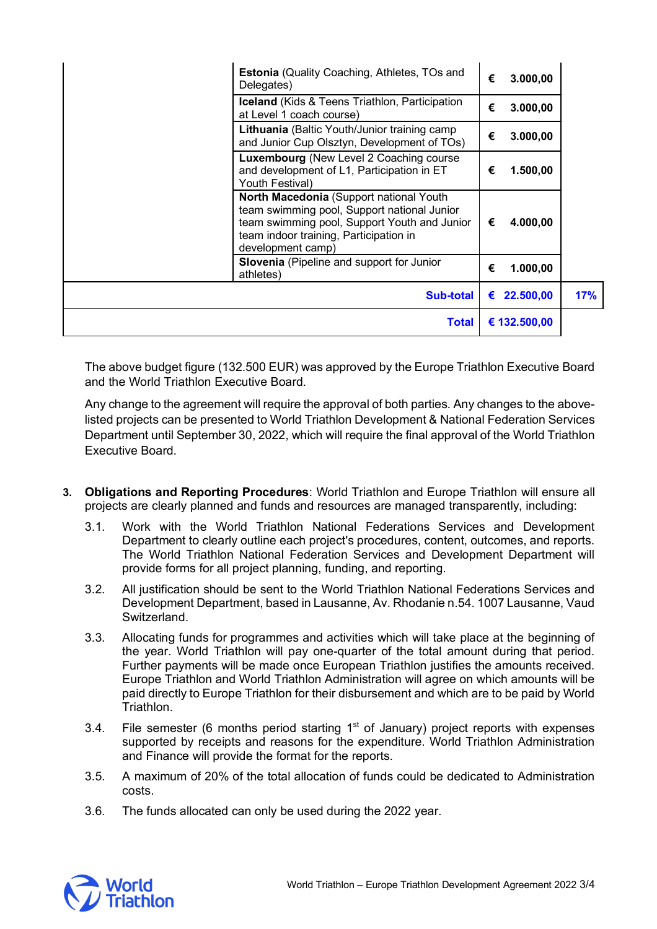| Estonia (Quality Coaching, Athletes, TOs and<br>Delegates)                                                                                                                                            | € | 3.000,00       |     |
|-------------------------------------------------------------------------------------------------------------------------------------------------------------------------------------------------------|---|----------------|-----|
| Iceland (Kids & Teens Triathlon, Participation<br>at Level 1 coach course)                                                                                                                            | € | 3.000,00       |     |
| Lithuania (Baltic Youth/Junior training camp<br>and Junior Cup Olsztyn, Development of TOs)                                                                                                           | € | 3.000,00       |     |
| Luxembourg (New Level 2 Coaching course<br>and development of L1, Participation in ET<br>Youth Festival)                                                                                              | € | 1.500,00       |     |
| North Macedonia (Support national Youth<br>team swimming pool, Support national Junior<br>team swimming pool, Support Youth and Junior<br>team indoor training, Participation in<br>development camp) | € | 4.000,00       |     |
| Slovenia (Pipeline and support for Junior<br>athletes)                                                                                                                                                | € | 1.000,00       |     |
| <b>Sub-total</b>                                                                                                                                                                                      |   | 22.500,00<br>€ | 17% |
| <b>Total</b>                                                                                                                                                                                          |   | € 132.500,00   |     |

The above budget figure (132.500 EUR) was approved by the Europe Triathlon Executive Board and the World Triathlon Executive Board.

Any change to the agreement will require the approval of both parties. Any changes to the abovelisted projects can be presented to World Triathlon Development & National Federation Services Department until September 30, 2022, which will require the final approval of the World Triathlon Executive Board.

- **3. Obligations and Reporting Procedures**: World Triathlon and Europe Triathlon will ensure all projects are clearly planned and funds and resources are managed transparently, including:
	- 3.1. Work with the World Triathlon National Federations Services and Development Department to clearly outline each project's procedures, content, outcomes, and reports. The World Triathlon National Federation Services and Development Department will provide forms for all project planning, funding, and reporting.
	- 3.2. All justification should be sent to the World Triathlon National Federations Services and Development Department, based in Lausanne, Av. Rhodanie n.54. 1007 Lausanne, Vaud **Switzerland**
	- 3.3. Allocating funds for programmes and activities which will take place at the beginning of the year. World Triathlon will pay one-quarter of the total amount during that period. Further payments will be made once European Triathlon justifies the amounts received. Europe Triathlon and World Triathlon Administration will agree on which amounts will be paid directly to Europe Triathlon for their disbursement and which are to be paid by World Triathlon.
	- 3.4. File semester (6 months period starting  $1<sup>st</sup>$  of January) project reports with expenses supported by receipts and reasons for the expenditure. World Triathlon Administration and Finance will provide the format for the reports.
	- 3.5. A maximum of 20% of the total allocation of funds could be dedicated to Administration costs.
	- 3.6. The funds allocated can only be used during the 2022 year.